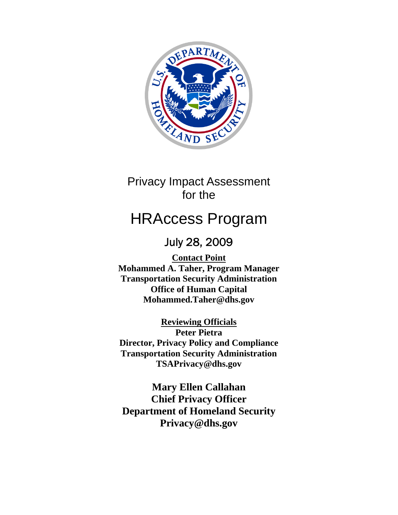

# Privacy Impact Assessment for the

# HRAccess Program

# July 28, 2009

**Contact Point Mohammed A. Taher, Program Manager Transportation Security Administration Office of Human Capital Mohammed.Taher@dhs.gov**

**Reviewing Officials Peter Pietra Director, Privacy Policy and Compliance Transportation Security Administration TSAPrivacy@dhs.gov** 

**Mary Ellen Callahan Chief Privacy Officer Department of Homeland Security Privacy@dhs.gov**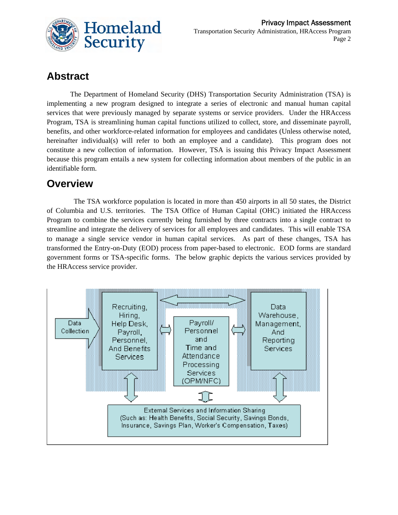

## **Abstract**

The Department of Homeland Security (DHS) Transportation Security Administration (TSA) is implementing a new program designed to integrate a series of electronic and manual human capital services that were previously managed by separate systems or service providers. Under the HRAccess Program, TSA is streamlining human capital functions utilized to collect, store, and disseminate payroll, benefits, and other workforce-related information for employees and candidates (Unless otherwise noted, hereinafter individual(s) will refer to both an employee and a candidate). This program does not constitute a new collection of information. However, TSA is issuing this Privacy Impact Assessment because this program entails a new system for collecting information about members of the public in an identifiable form.

### **Overview**

 The TSA workforce population is located in more than 450 airports in all 50 states, the District of Columbia and U.S. territories. The TSA Office of Human Capital (OHC) initiated the HRAccess Program to combine the services currently being furnished by three contracts into a single contract to streamline and integrate the delivery of services for all employees and candidates. This will enable TSA to manage a single service vendor in human capital services. As part of these changes, TSA has transformed the Entry-on-Duty (EOD) process from paper-based to electronic. EOD forms are standard government forms or TSA-specific forms. The below graphic depicts the various services provided by the HRAccess service provider.

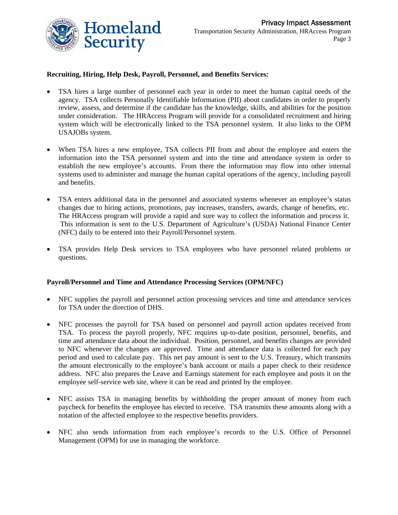

#### **Recruiting, Hiring, Help Desk, Payroll, Personnel, and Benefits Services:**

- TSA hires a large number of personnel each year in order to meet the human capital needs of the agency. TSA collects Personally Identifiable Information (PII) about candidates in order to properly review, assess, and determine if the candidate has the knowledge, skills, and abilities for the position under consideration. The HRAccess Program will provide for a consolidated recruitment and hiring system which will be electronically linked to the TSA personnel system. It also links to the OPM USAJOBs system.
- When TSA hires a new employee, TSA collects PII from and about the employee and enters the information into the TSA personnel system and into the time and attendance system in order to establish the new employee's accounts. From there the information may flow into other internal systems used to administer and manage the human capital operations of the agency, including payroll and benefits.
- TSA enters additional data in the personnel and associated systems whenever an employee's status changes due to hiring actions, promotions, pay increases, transfers, awards, change of benefits, etc. The HRAccess program will provide a rapid and sure way to collect the information and process it. This information is sent to the U.S. Department of Agriculture's (USDA) National Finance Center (NFC) daily to be entered into their Payroll/Personnel system.
- TSA provides Help Desk services to TSA employees who have personnel related problems or questions.

#### **Payroll/Personnel and Time and Attendance Processing Services (OPM/NFC)**

- NFC supplies the payroll and personnel action processing services and time and attendance services for TSA under the direction of DHS.
- NFC processes the payroll for TSA based on personnel and payroll action updates received from TSA. To process the payroll properly, NFC requires up-to-date position, personnel, benefits, and time and attendance data about the individual. Position, personnel, and benefits changes are provided to NFC whenever the changes are approved. Time and attendance data is collected for each pay period and used to calculate pay. This net pay amount is sent to the U.S. Treasury, which transmits the amount electronically to the employee's bank account or mails a paper check to their residence address. NFC also prepares the Leave and Earnings statement for each employee and posts it on the employee self-service web site, where it can be read and printed by the employee.
- NFC assists TSA in managing benefits by withholding the proper amount of money from each paycheck for benefits the employee has elected to receive. TSA transmits these amounts along with a notation of the affected employee to the respective benefits providers.
- NFC also sends information from each employee's records to the U.S. Office of Personnel Management (OPM) for use in managing the workforce.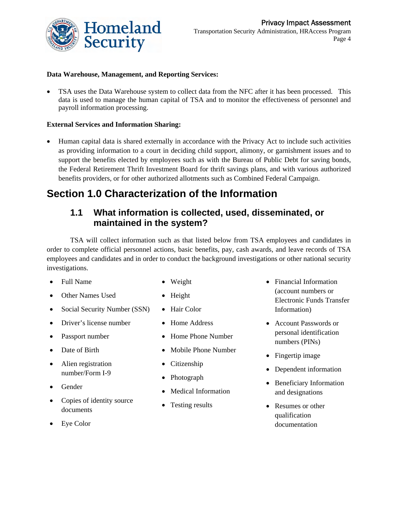

#### **Data Warehouse, Management, and Reporting Services:**

 TSA uses the Data Warehouse system to collect data from the NFC after it has been processed. This data is used to manage the human capital of TSA and to monitor the effectiveness of personnel and payroll information processing.

#### **External Services and Information Sharing:**

 Human capital data is shared externally in accordance with the Privacy Act to include such activities as providing information to a court in deciding child support, alimony, or garnishment issues and to support the benefits elected by employees such as with the Bureau of Public Debt for saving bonds, the Federal Retirement Thrift Investment Board for thrift savings plans, and with various authorized benefits providers, or for other authorized allotments such as Combined Federal Campaign.

### **Section 1.0 Characterization of the Information**

#### **1.1 What information is collected, used, disseminated, or maintained in the system?**

TSA will collect information such as that listed below from TSA employees and candidates in order to complete official personnel actions, basic benefits, pay, cash awards, and leave records of TSA employees and candidates and in order to conduct the background investigations or other national security investigations.

- Full Name
- Other Names Used
- Social Security Number (SSN)
- Driver's license number
- Passport number
- Date of Birth
- Alien registration number/Form I-9
- Gender
- Copies of identity source documents
- Eye Color
- Weight
- Height
- Hair Color
- Home Address
- Home Phone Number
- Mobile Phone Number
- Citizenship
- Photograph
- Medical Information
- Testing results
- Financial Information (account numbers or Electronic Funds Transfer Information)
- Account Passwords or personal identification numbers (PINs)
- Fingertip image
- Dependent information
- Beneficiary Information and designations
- Resumes or other qualification documentation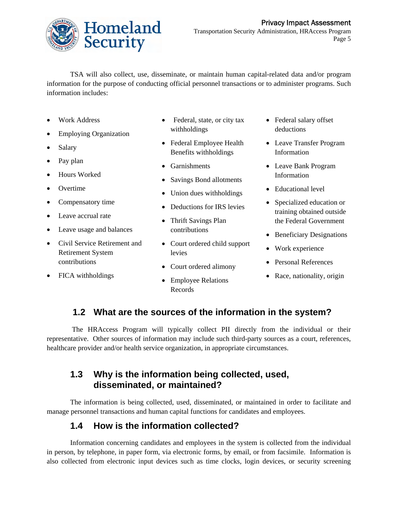

TSA will also collect, use, disseminate, or maintain human capital-related data and/or program information for the purpose of conducting official personnel transactions or to administer programs. Such information includes:

- Work Address
- Employing Organization
- Salary
- Pay plan
- Hours Worked
- **Overtime**
- Compensatory time
- Leave accrual rate
- Leave usage and balances
- Civil Service Retirement and Retirement System contributions
- FICA withholdings
- Federal, state, or city tax withholdings
- Federal Employee Health Benefits withholdings
- Garnishments
- Savings Bond allotments
- Union dues withholdings
- Deductions for IRS levies
- Thrift Savings Plan contributions
- Court ordered child support levies
- Court ordered alimony
- Employee Relations Records
- Federal salary offset deductions
- Leave Transfer Program Information
- Leave Bank Program Information
- Educational level
- Specialized education or training obtained outside the Federal Government
- Beneficiary Designations
- Work experience
- Personal References
- Race, nationality, origin

### **1.2 What are the sources of the information in the system?**

 The HRAccess Program will typically collect PII directly from the individual or their representative. Other sources of information may include such third-party sources as a court, references, healthcare provider and/or health service organization, in appropriate circumstances.

### **1.3 Why is the information being collected, used, disseminated, or maintained?**

The information is being collected, used, disseminated, or maintained in order to facilitate and manage personnel transactions and human capital functions for candidates and employees.

### **1.4 How is the information collected?**

Information concerning candidates and employees in the system is collected from the individual in person, by telephone, in paper form, via electronic forms, by email, or from facsimile. Information is also collected from electronic input devices such as time clocks, login devices, or security screening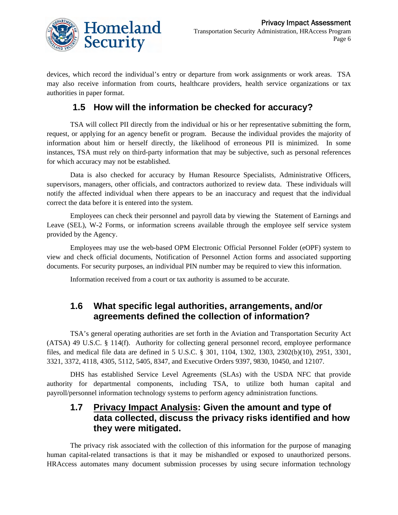

devices, which record the individual's entry or departure from work assignments or work areas. TSA may also receive information from courts, healthcare providers, health service organizations or tax authorities in paper format.

### **1.5 How will the information be checked for accuracy?**

TSA will collect PII directly from the individual or his or her representative submitting the form, request, or applying for an agency benefit or program. Because the individual provides the majority of information about him or herself directly, the likelihood of erroneous PII is minimized. In some instances, TSA must rely on third-party information that may be subjective, such as personal references for which accuracy may not be established.

Data is also checked for accuracy by Human Resource Specialists, Administrative Officers, supervisors, managers, other officials, and contractors authorized to review data. These individuals will notify the affected individual when there appears to be an inaccuracy and request that the individual correct the data before it is entered into the system.

Employees can check their personnel and payroll data by viewing the Statement of Earnings and Leave (SEL), W-2 Forms, or information screens available through the employee self service system provided by the Agency.

Employees may use the web-based OPM Electronic Official Personnel Folder (eOPF) system to view and check official documents, Notification of Personnel Action forms and associated supporting documents. For security purposes, an individual PIN number may be required to view this information.

Information received from a court or tax authority is assumed to be accurate.

### **1.6 What specific legal authorities, arrangements, and/or agreements defined the collection of information?**

TSA's general operating authorities are set forth in the Aviation and Transportation Security Act (ATSA) 49 U.S.C. § 114(f). Authority for collecting general personnel record, employee performance files, and medical file data are defined in 5 U.S.C. § 301, 1104, 1302, 1303, 2302(b)(10), 2951, 3301, 3321, 3372, 4118, 4305, 5112, 5405, 8347, and Executive Orders 9397, 9830, 10450, and 12107.

DHS has established Service Level Agreements (SLAs) with the USDA NFC that provide authority for departmental components, including TSA, to utilize both human capital and payroll/personnel information technology systems to perform agency administration functions.

#### **1.7 Privacy Impact Analysis: Given the amount and type of data collected, discuss the privacy risks identified and how they were mitigated.**

The privacy risk associated with the collection of this information for the purpose of managing human capital-related transactions is that it may be mishandled or exposed to unauthorized persons. HRAccess automates many document submission processes by using secure information technology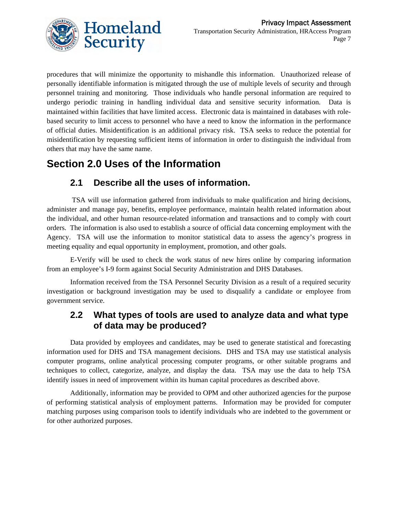

procedures that will minimize the opportunity to mishandle this information. Unauthorized release of personally identifiable information is mitigated through the use of multiple levels of security and through personnel training and monitoring. Those individuals who handle personal information are required to undergo periodic training in handling individual data and sensitive security information. Data is maintained within facilities that have limited access. Electronic data is maintained in databases with rolebased security to limit access to personnel who have a need to know the information in the performance of official duties. Misidentification is an additional privacy risk. TSA seeks to reduce the potential for misidentification by requesting sufficient items of information in order to distinguish the individual from others that may have the same name.

## **Section 2.0 Uses of the Information**

### **2.1 Describe all the uses of information.**

 TSA will use information gathered from individuals to make qualification and hiring decisions, administer and manage pay, benefits, employee performance, maintain health related information about the individual, and other human resource-related information and transactions and to comply with court orders. The information is also used to establish a source of official data concerning employment with the Agency. TSA will use the information to monitor statistical data to assess the agency's progress in meeting equality and equal opportunity in employment, promotion, and other goals.

E-Verify will be used to check the work status of new hires online by comparing information from an employee's I-9 form against Social Security Administration and DHS Databases.

Information received from the TSA Personnel Security Division as a result of a required security investigation or background investigation may be used to disqualify a candidate or employee from government service.

### **2.2 What types of tools are used to analyze data and what type of data may be produced?**

Data provided by employees and candidates, may be used to generate statistical and forecasting information used for DHS and TSA management decisions. DHS and TSA may use statistical analysis computer programs, online analytical processing computer programs, or other suitable programs and techniques to collect, categorize, analyze, and display the data. TSA may use the data to help TSA identify issues in need of improvement within its human capital procedures as described above.

Additionally, information may be provided to OPM and other authorized agencies for the purpose of performing statistical analysis of employment patterns. Information may be provided for computer matching purposes using comparison tools to identify individuals who are indebted to the government or for other authorized purposes.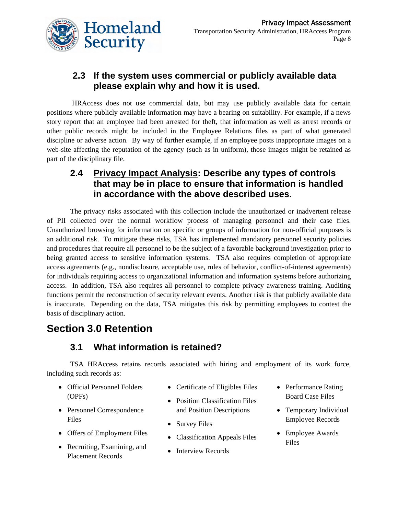

### **2.3 If the system uses commercial or publicly available data please explain why and how it is used.**

 HRAccess does not use commercial data, but may use publicly available data for certain positions where publicly available information may have a bearing on suitability. For example, if a news story report that an employee had been arrested for theft, that information as well as arrest records or other public records might be included in the Employee Relations files as part of what generated discipline or adverse action. By way of further example, if an employee posts inappropriate images on a web-site affecting the reputation of the agency (such as in uniform), those images might be retained as part of the disciplinary file.

### **2.4 Privacy Impact Analysis: Describe any types of controls that may be in place to ensure that information is handled in accordance with the above described uses.**

The privacy risks associated with this collection include the unauthorized or inadvertent release of PII collected over the normal workflow process of managing personnel and their case files. Unauthorized browsing for information on specific or groups of information for non-official purposes is an additional risk. To mitigate these risks, TSA has implemented mandatory personnel security policies and procedures that require all personnel to be the subject of a favorable background investigation prior to being granted access to sensitive information systems. TSA also requires completion of appropriate access agreements (e.g., nondisclosure, acceptable use, rules of behavior, conflict-of-interest agreements) for individuals requiring access to organizational information and information systems before authorizing access. In addition, TSA also requires all personnel to complete privacy awareness training. Auditing functions permit the reconstruction of security relevant events. Another risk is that publicly available data is inaccurate. Depending on the data, TSA mitigates this risk by permitting employees to contest the basis of disciplinary action.

### **Section 3.0 Retention**

### **3.1 What information is retained?**

TSA HRAccess retains records associated with hiring and employment of its work force, including such records as:

- Official Personnel Folders (OPFs)
- Personnel Correspondence Files
- Offers of Employment Files
- Recruiting, Examining, and Placement Records
- Certificate of Eligibles Files
- Position Classification Files and Position Descriptions
- Survey Files
- Classification Appeals Files
- Interview Records
- Performance Rating Board Case Files
- Temporary Individual Employee Records
- Employee Awards Files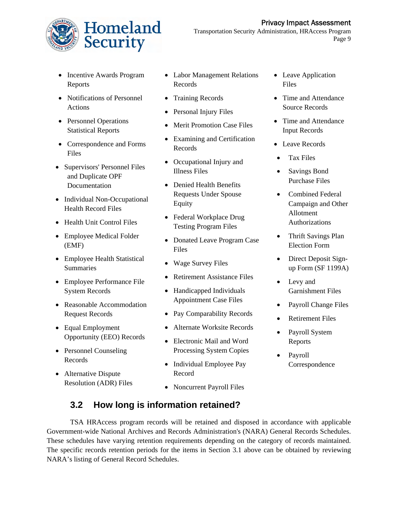



Transportation Security Administration, HRAccess Program Page 9

- Incentive Awards Program Reports
- Notifications of Personnel Actions
- Personnel Operations Statistical Reports
- Correspondence and Forms Files
- Supervisors' Personnel Files and Duplicate OPF Documentation
- Individual Non-Occupational Health Record Files
- Health Unit Control Files
- Employee Medical Folder (EMF)
- Employee Health Statistical Summaries
- Employee Performance File System Records
- Reasonable Accommodation Request Records
- Equal Employment Opportunity (EEO) Records
- Personnel Counseling Records
- Alternative Dispute Resolution (ADR) Files
- Labor Management Relations Records
- Training Records
- Personal Injury Files
- Merit Promotion Case Files
- Examining and Certification Records
- Occupational Injury and Illness Files
- Denied Health Benefits Requests Under Spouse Equity
- Federal Workplace Drug Testing Program Files
- Donated Leave Program Case Files
- Wage Survey Files
- Retirement Assistance Files
- Handicapped Individuals Appointment Case Files
- Pay Comparability Records
- Alternate Worksite Records
- Electronic Mail and Word Processing System Copies
- Individual Employee Pay Record
- Noncurrent Payroll Files
- Leave Application Files
- Time and Attendance Source Records
- Time and Attendance Input Records
- Leave Records
- Tax Files
- Savings Bond Purchase Files
- Combined Federal Campaign and Other Allotment Authorizations
- Thrift Savings Plan Election Form
- Direct Deposit Signup Form (SF 1199A)
- Levy and Garnishment Files
- Payroll Change Files
- Retirement Files
- Payroll System Reports
- Payroll Correspondence

### **3.2 How long is information retained?**

TSA HRAccess program records will be retained and disposed in accordance with applicable Government-wide National Archives and Records Administration's (NARA) General Records Schedules. These schedules have varying retention requirements depending on the category of records maintained. The specific records retention periods for the items in Section 3.1 above can be obtained by reviewing NARA's listing of General Record Schedules.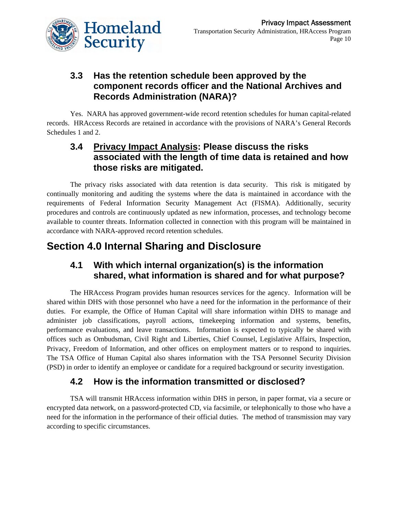

### **3.3 Has the retention schedule been approved by the component records officer and the National Archives and Records Administration (NARA)?**

Yes. NARA has approved government-wide record retention schedules for human capital-related records. HRAccess Records are retained in accordance with the provisions of NARA's General Records Schedules 1 and 2.

### **3.4 Privacy Impact Analysis: Please discuss the risks associated with the length of time data is retained and how those risks are mitigated.**

The privacy risks associated with data retention is data security. This risk is mitigated by continually monitoring and auditing the systems where the data is maintained in accordance with the requirements of Federal Information Security Management Act (FISMA). Additionally, security procedures and controls are continuously updated as new information, processes, and technology become available to counter threats. Information collected in connection with this program will be maintained in accordance with NARA-approved record retention schedules.

## **Section 4.0 Internal Sharing and Disclosure**

### **4.1 With which internal organization(s) is the information shared, what information is shared and for what purpose?**

The HRAccess Program provides human resources services for the agency. Information will be shared within DHS with those personnel who have a need for the information in the performance of their duties. For example, the Office of Human Capital will share information within DHS to manage and administer job classifications, payroll actions, timekeeping information and systems, benefits, performance evaluations, and leave transactions. Information is expected to typically be shared with offices such as Ombudsman, Civil Right and Liberties, Chief Counsel, Legislative Affairs, Inspection, Privacy, Freedom of Information, and other offices on employment matters or to respond to inquiries. The TSA Office of Human Capital also shares information with the TSA Personnel Security Division (PSD) in order to identify an employee or candidate for a required background or security investigation.

### **4.2 How is the information transmitted or disclosed?**

TSA will transmit HRAccess information within DHS in person, in paper format, via a secure or encrypted data network, on a password-protected CD, via facsimile, or telephonically to those who have a need for the information in the performance of their official duties. The method of transmission may vary according to specific circumstances.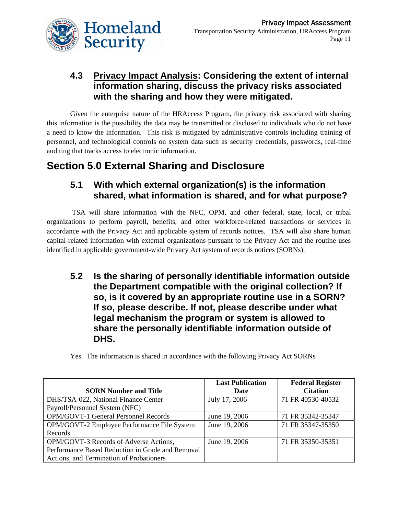

### **4.3 Privacy Impact Analysis: Considering the extent of internal information sharing, discuss the privacy risks associated with the sharing and how they were mitigated.**

Given the enterprise nature of the HRAccess Program, the privacy risk associated with sharing this information is the possibility the data may be transmitted or disclosed to individuals who do not have a need to know the information. This risk is mitigated by administrative controls including training of personnel, and technological controls on system data such as security credentials, passwords, real-time auditing that tracks access to electronic information.

### **Section 5.0 External Sharing and Disclosure**

### **5.1 With which external organization(s) is the information shared, what information is shared, and for what purpose?**

 TSA will share information with the NFC, OPM, and other federal, state, local, or tribal organizations to perform payroll, benefits, and other workforce-related transactions or services in accordance with the Privacy Act and applicable system of records notices. TSA will also share human capital-related information with external organizations pursuant to the Privacy Act and the routine uses identified in applicable government-wide Privacy Act system of records notices (SORNs).

**5.2 Is the sharing of personally identifiable information outside the Department compatible with the original collection? If so, is it covered by an appropriate routine use in a SORN? If so, please describe. If not, please describe under what legal mechanism the program or system is allowed to share the personally identifiable information outside of DHS.** 

|                                                  | <b>Last Publication</b> | <b>Federal Register</b> |
|--------------------------------------------------|-------------------------|-------------------------|
| <b>SORN Number and Title</b>                     | Date                    | <b>Citation</b>         |
| DHS/TSA-022, National Finance Center             | July 17, 2006           | 71 FR 40530-40532       |
| Payroll/Personnel System (NFC)                   |                         |                         |
| OPM/GOVT-1 General Personnel Records             | June 19, 2006           | 71 FR 35342-35347       |
| OPM/GOVT-2 Employee Performance File System      | June 19, 2006           | 71 FR 35347-35350       |
| Records                                          |                         |                         |
| OPM/GOVT-3 Records of Adverse Actions,           | June 19, 2006           | 71 FR 35350-35351       |
| Performance Based Reduction in Grade and Removal |                         |                         |
| Actions, and Termination of Probationers         |                         |                         |

Yes. The information is shared in accordance with the following Privacy Act SORNs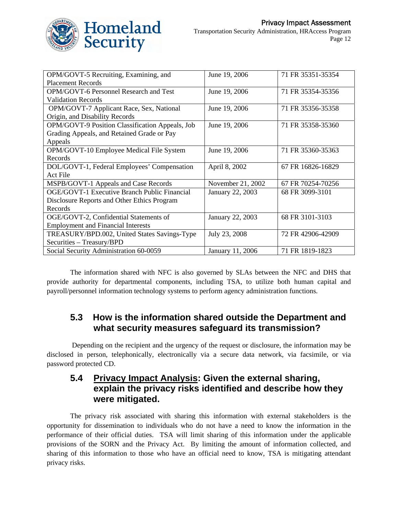

| OPM/GOVT-5 Recruiting, Examining, and               | June 19, 2006     | 71 FR 35351-35354 |
|-----------------------------------------------------|-------------------|-------------------|
| <b>Placement Records</b>                            |                   |                   |
| <b>OPM/GOVT-6 Personnel Research and Test</b>       | June 19, 2006     | 71 FR 35354-35356 |
| <b>Validation Records</b>                           |                   |                   |
| OPM/GOVT-7 Applicant Race, Sex, National            | June 19, 2006     | 71 FR 35356-35358 |
| Origin, and Disability Records                      |                   |                   |
| OPM/GOVT-9 Position Classification Appeals, Job     | June 19, 2006     | 71 FR 35358-35360 |
| Grading Appeals, and Retained Grade or Pay          |                   |                   |
| Appeals                                             |                   |                   |
| OPM/GOVT-10 Employee Medical File System            | June 19, 2006     | 71 FR 35360-35363 |
| Records                                             |                   |                   |
| DOL/GOVT-1, Federal Employees' Compensation         | April 8, 2002     | 67 FR 16826-16829 |
| Act File                                            |                   |                   |
| MSPB/GOVT-1 Appeals and Case Records                | November 21, 2002 | 67 FR 70254-70256 |
| <b>OGE/GOVT-1 Executive Branch Public Financial</b> | January 22, 2003  | 68 FR 3099-3101   |
| Disclosure Reports and Other Ethics Program         |                   |                   |
| Records                                             |                   |                   |
| OGE/GOVT-2, Confidential Statements of              | January 22, 2003  | 68 FR 3101-3103   |
| <b>Employment and Financial Interests</b>           |                   |                   |
| TREASURY/BPD.002, United States Savings-Type        | July 23, 2008     | 72 FR 42906-42909 |
| Securities - Treasury/BPD                           |                   |                   |
| Social Security Administration 60-0059              | January 11, 2006  | 71 FR 1819-1823   |

The information shared with NFC is also governed by SLAs between the NFC and DHS that provide authority for departmental components, including TSA, to utilize both human capital and payroll/personnel information technology systems to perform agency administration functions.

### **5.3 How is the information shared outside the Department and what security measures safeguard its transmission?**

 Depending on the recipient and the urgency of the request or disclosure, the information may be disclosed in person, telephonically, electronically via a secure data network, via facsimile, or via password protected CD.

### **5.4 Privacy Impact Analysis: Given the external sharing, explain the privacy risks identified and describe how they were mitigated.**

The privacy risk associated with sharing this information with external stakeholders is the opportunity for dissemination to individuals who do not have a need to know the information in the performance of their official duties. TSA will limit sharing of this information under the applicable provisions of the SORN and the Privacy Act. By limiting the amount of information collected, and sharing of this information to those who have an official need to know, TSA is mitigating attendant privacy risks.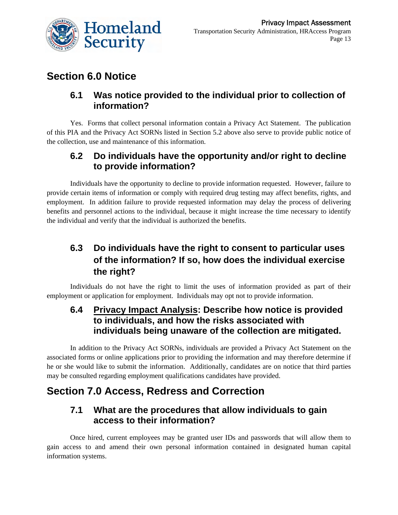

### **Section 6.0 Notice**

### **6.1 Was notice provided to the individual prior to collection of information?**

Yes. Forms that collect personal information contain a Privacy Act Statement. The publication of this PIA and the Privacy Act SORNs listed in Section 5.2 above also serve to provide public notice of the collection, use and maintenance of this information.

### **6.2 Do individuals have the opportunity and/or right to decline to provide information?**

Individuals have the opportunity to decline to provide information requested. However, failure to provide certain items of information or comply with required drug testing may affect benefits, rights, and employment. In addition failure to provide requested information may delay the process of delivering benefits and personnel actions to the individual, because it might increase the time necessary to identify the individual and verify that the individual is authorized the benefits.

### **6.3 Do individuals have the right to consent to particular uses of the information? If so, how does the individual exercise the right?**

Individuals do not have the right to limit the uses of information provided as part of their employment or application for employment. Individuals may opt not to provide information.

### **6.4 Privacy Impact Analysis: Describe how notice is provided to individuals, and how the risks associated with individuals being unaware of the collection are mitigated.**

In addition to the Privacy Act SORNs, individuals are provided a Privacy Act Statement on the associated forms or online applications prior to providing the information and may therefore determine if he or she would like to submit the information. Additionally, candidates are on notice that third parties may be consulted regarding employment qualifications candidates have provided.

### **Section 7.0 Access, Redress and Correction**

### **7.1 What are the procedures that allow individuals to gain access to their information?**

Once hired, current employees may be granted user IDs and passwords that will allow them to gain access to and amend their own personal information contained in designated human capital information systems.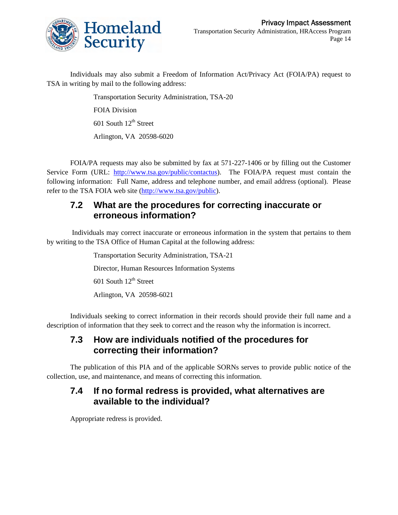

Individuals may also submit a Freedom of Information Act/Privacy Act (FOIA/PA) request to TSA in writing by mail to the following address:

> Transportation Security Administration, TSA-20 FOIA Division  $601$  South  $12<sup>th</sup>$  Street Arlington, VA 20598-6020

FOIA/PA requests may also be submitted by fax at 571-227-1406 or by filling out the Customer Service Form (URL: <http://www.tsa.gov/public/contactus>). The FOIA/PA request must contain the following information: Full Name, address and telephone number, and email address (optional). Please refer to the TSA FOIA web site ([http://www.tsa.gov/public\)](http://www.tsa.gov/public).

#### **7.2 What are the procedures for correcting inaccurate or erroneous information?**

 Individuals may correct inaccurate or erroneous information in the system that pertains to them by writing to the TSA Office of Human Capital at the following address:

> Transportation Security Administration, TSA-21 Director, Human Resources Information Systems 601 South  $12^{th}$  Street Arlington, VA 20598-6021

Individuals seeking to correct information in their records should provide their full name and a description of information that they seek to correct and the reason why the information is incorrect.

### **7.3 How are individuals notified of the procedures for correcting their information?**

The publication of this PIA and of the applicable SORNs serves to provide public notice of the collection, use, and maintenance, and means of correcting this information.

### **7.4 If no formal redress is provided, what alternatives are available to the individual?**

Appropriate redress is provided.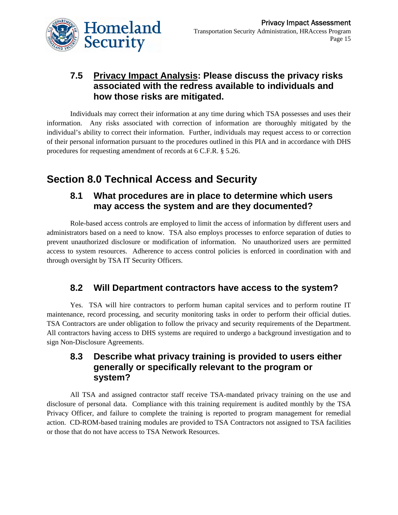

### **7.5 Privacy Impact Analysis: Please discuss the privacy risks associated with the redress available to individuals and how those risks are mitigated.**

Individuals may correct their information at any time during which TSA possesses and uses their information. Any risks associated with correction of information are thoroughly mitigated by the individual's ability to correct their information. Further, individuals may request access to or correction of their personal information pursuant to the procedures outlined in this PIA and in accordance with DHS procedures for requesting amendment of records at 6 C.F.R. § 5.26.

## **Section 8.0 Technical Access and Security**

#### **8.1 What procedures are in place to determine which users may access the system and are they documented?**

Role-based access controls are employed to limit the access of information by different users and administrators based on a need to know. TSA also employs processes to enforce separation of duties to prevent unauthorized disclosure or modification of information. No unauthorized users are permitted access to system resources. Adherence to access control policies is enforced in coordination with and through oversight by TSA IT Security Officers.

### **8.2 Will Department contractors have access to the system?**

Yes. TSA will hire contractors to perform human capital services and to perform routine IT maintenance, record processing, and security monitoring tasks in order to perform their official duties. TSA Contractors are under obligation to follow the privacy and security requirements of the Department. All contractors having access to DHS systems are required to undergo a background investigation and to sign Non-Disclosure Agreements.

### **8.3 Describe what privacy training is provided to users either generally or specifically relevant to the program or system?**

All TSA and assigned contractor staff receive TSA-mandated privacy training on the use and disclosure of personal data. Compliance with this training requirement is audited monthly by the TSA Privacy Officer, and failure to complete the training is reported to program management for remedial action. CD-ROM-based training modules are provided to TSA Contractors not assigned to TSA facilities or those that do not have access to TSA Network Resources.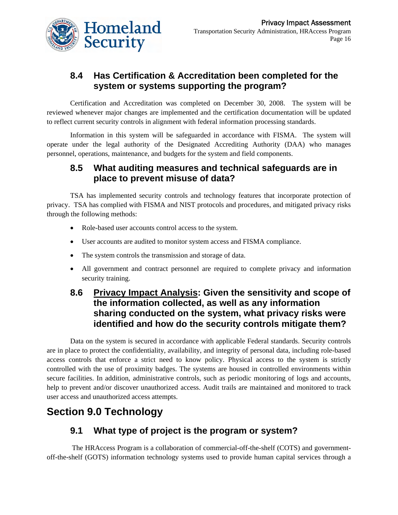

### **8.4 Has Certification & Accreditation been completed for the system or systems supporting the program?**

Certification and Accreditation was completed on December 30, 2008. The system will be reviewed whenever major changes are implemented and the certification documentation will be updated to reflect current security controls in alignment with federal information processing standards.

Information in this system will be safeguarded in accordance with FISMA. The system will operate under the legal authority of the Designated Accrediting Authority (DAA) who manages personnel, operations, maintenance, and budgets for the system and field components.

#### **8.5 What auditing measures and technical safeguards are in place to prevent misuse of data?**

TSA has implemented security controls and technology features that incorporate protection of privacy. TSA has complied with FISMA and NIST protocols and procedures, and mitigated privacy risks through the following methods:

- Role-based user accounts control access to the system.
- User accounts are audited to monitor system access and FISMA compliance.
- The system controls the transmission and storage of data.
- All government and contract personnel are required to complete privacy and information security training.

### **8.6 Privacy Impact Analysis: Given the sensitivity and scope of the information collected, as well as any information sharing conducted on the system, what privacy risks were identified and how do the security controls mitigate them?**

Data on the system is secured in accordance with applicable Federal standards. Security controls are in place to protect the confidentiality, availability, and integrity of personal data, including role-based access controls that enforce a strict need to know policy. Physical access to the system is strictly controlled with the use of proximity badges. The systems are housed in controlled environments within secure facilities. In addition, administrative controls, such as periodic monitoring of logs and accounts, help to prevent and/or discover unauthorized access. Audit trails are maintained and monitored to track user access and unauthorized access attempts.

## **Section 9.0 Technology**

### **9.1 What type of project is the program or system?**

 The HRAccess Program is a collaboration of commercial-off-the-shelf (COTS) and governmentoff-the-shelf (GOTS) information technology systems used to provide human capital services through a